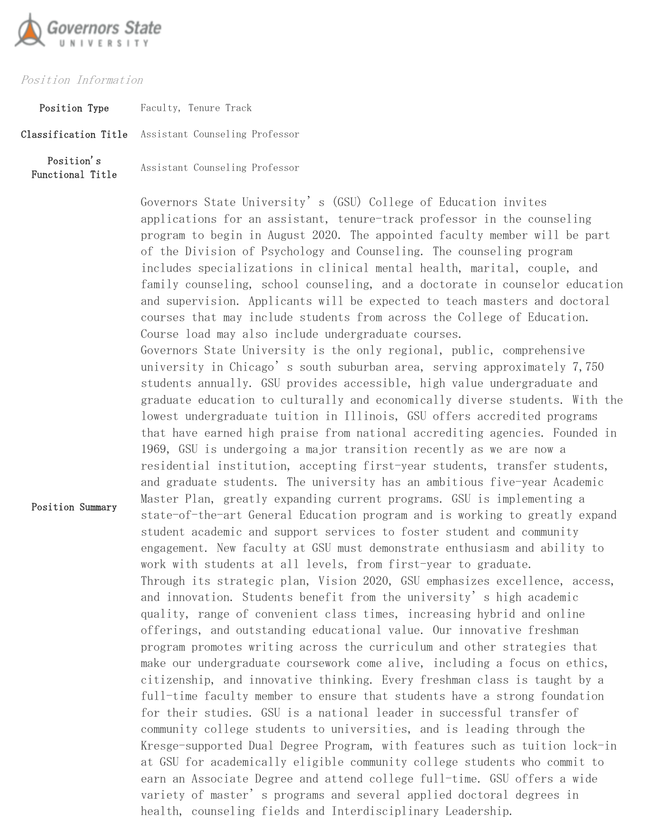

## Position Information

Position Summary

Position Type Faculty, Tenure Track Classification Title Assistant Counseling Professor Position's Functional Title Assistant Counseling Professor

> applications for an assistant, tenure-track professor in the counseling program to begin in August 2020. The appointed faculty member will be part of the Division of Psychology and Counseling. The counseling program includes specializations in clinical mental health, marital, couple, and family counseling, school counseling, and a doctorate in counselor education and supervision. Applicants will be expected to teach masters and doctoral courses that may include students from across the College of Education. Course load may also include undergraduate courses. Governors State University is the only regional, public, comprehensive university in Chicago's south suburban area, serving approximately 7,750 students annually. GSU provides accessible, high value undergraduate and graduate education to culturally and economically diverse students. With the lowest undergraduate tuition in Illinois, GSU offers accredited programs that have earned high praise from national accrediting agencies. Founded in 1969, GSU is undergoing a major transition recently as we are now a residential institution, accepting first-year students, transfer students, and graduate students. The university has an ambitious five-year Academic Master Plan, greatly expanding current programs. GSU is implementing a state-of-the-art General Education program and is working to greatly expand student academic and support services to foster student and community engagement. New faculty at GSU must demonstrate enthusiasm and ability to work with students at all levels, from first-year to graduate. Through its strategic plan, Vision 2020, GSU emphasizes excellence, access, and innovation. Students benefit from the university's high academic quality, range of convenient class times, increasing hybrid and online offerings, and outstanding educational value. Our innovative freshman program promotes writing across the curriculum and other strategies that make our undergraduate coursework come alive, including a focus on ethics, citizenship, and innovative thinking. Every freshman class is taught by a full-time faculty member to ensure that students have a strong foundation for their studies. GSU is a national leader in successful transfer of community college students to universities, and is leading through the Kresge-supported Dual Degree Program, with features such as tuition lock-in at GSU for academically eligible community college students who commit to earn an Associate Degree and attend college full-time. GSU offers a wide variety of master's programs and several applied doctoral degrees in health, counseling fields and Interdisciplinary Leadership.

Governors State University's (GSU) College of Education invites